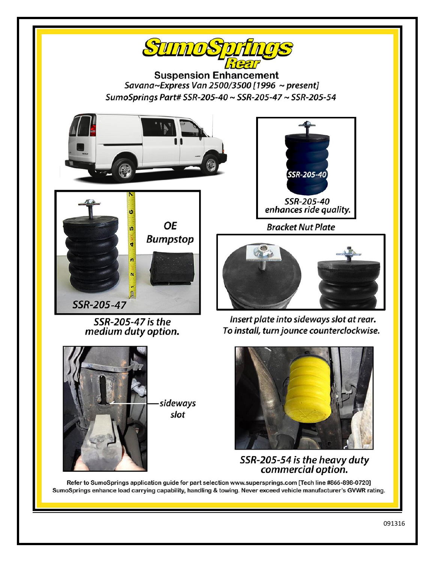